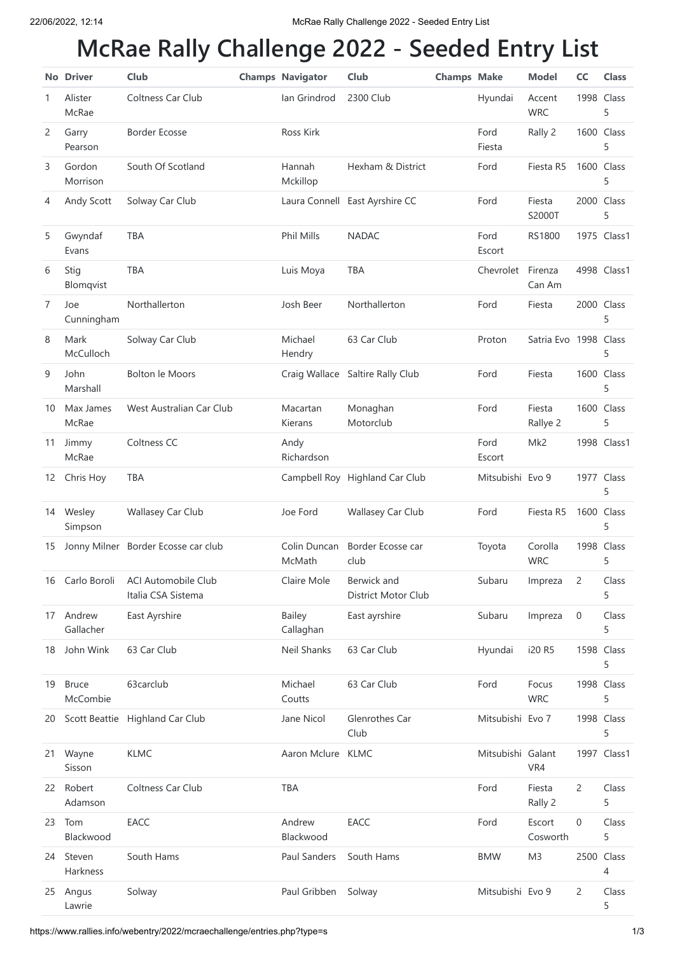## **McRae Rally Challenge 2022 - Seeded Entry List**

|              | <b>No Driver</b>         | Club                                      | <b>Champs Navigator</b> | Club                               | <b>Champs Make</b> |                   | <b>Model</b>          | cc             | <b>Class</b>    |
|--------------|--------------------------|-------------------------------------------|-------------------------|------------------------------------|--------------------|-------------------|-----------------------|----------------|-----------------|
| 1            | Alister<br>McRae         | Coltness Car Club                         | lan Grindrod            | 2300 Club                          |                    | Hyundai           | Accent<br><b>WRC</b>  |                | 1998 Class<br>5 |
| $\mathbf{2}$ | Garry<br>Pearson         | <b>Border Ecosse</b>                      | <b>Ross Kirk</b>        |                                    |                    | Ford<br>Fiesta    | Rally 2               |                | 1600 Class<br>5 |
| 3            | Gordon<br>Morrison       | South Of Scotland                         | Hannah<br>Mckillop      | Hexham & District                  |                    | Ford              | Fiesta R5             |                | 1600 Class<br>5 |
| 4            | Andy Scott               | Solway Car Club                           |                         | Laura Connell East Ayrshire CC     |                    | Ford              | Fiesta<br>S2000T      |                | 2000 Class<br>5 |
| 5            | Gwyndaf<br>Evans         | <b>TBA</b>                                | Phil Mills              | <b>NADAC</b>                       |                    | Ford<br>Escort    | <b>RS1800</b>         |                | 1975 Class1     |
| 6            | Stig<br>Blomqvist        | <b>TBA</b>                                | Luis Moya               | <b>TBA</b>                         |                    | Chevrolet         | Firenza<br>Can Am     |                | 4998 Class1     |
| 7            | Joe<br>Cunningham        | Northallerton                             | Josh Beer               | Northallerton                      |                    | Ford              | Fiesta                |                | 2000 Class<br>5 |
| 8            | Mark<br>McCulloch        | Solway Car Club                           | Michael<br>Hendry       | 63 Car Club                        |                    | Proton            | Satria Evo 1998 Class |                | 5               |
| 9            | John<br>Marshall         | <b>Bolton le Moors</b>                    |                         | Craig Wallace Saltire Rally Club   |                    | Ford              | Fiesta                |                | 1600 Class<br>5 |
| 10           | Max James<br>McRae       | West Australian Car Club                  | Macartan<br>Kierans     | Monaghan<br>Motorclub              |                    | Ford              | Fiesta<br>Rallye 2    |                | 1600 Class<br>5 |
| 11           | Jimmy<br>McRae           | Coltness CC                               | Andy<br>Richardson      |                                    |                    | Ford<br>Escort    | Mk2                   |                | 1998 Class1     |
| 12           | Chris Hoy                | <b>TBA</b>                                |                         | Campbell Roy Highland Car Club     |                    | Mitsubishi Evo 9  |                       |                | 1977 Class<br>5 |
| 14           | Wesley<br>Simpson        | Wallasey Car Club                         | Joe Ford                | Wallasey Car Club                  |                    | Ford              | Fiesta R5             |                | 1600 Class<br>5 |
| 15           |                          | Jonny Milner Border Ecosse car club       | Colin Duncan<br>McMath  | Border Ecosse car<br>club          |                    | Toyota            | Corolla<br><b>WRC</b> |                | 1998 Class<br>5 |
| 16           | Carlo Boroli             | ACI Automobile Club<br>Italia CSA Sistema | Claire Mole             | Berwick and<br>District Motor Club |                    | Subaru            | Impreza               | 2              | Class<br>5      |
| 17           | Andrew<br>Gallacher      | East Ayrshire                             | Bailey<br>Callaghan     | East ayrshire                      |                    | Subaru            | Impreza               | 0              | Class<br>5      |
| 18           | John Wink                | 63 Car Club                               | Neil Shanks             | 63 Car Club                        |                    | Hyundai           | i20 R5                |                | 1598 Class<br>5 |
| 19           | <b>Bruce</b><br>McCombie | 63carclub                                 | Michael<br>Coutts       | 63 Car Club                        |                    | Ford              | Focus<br><b>WRC</b>   |                | 1998 Class<br>5 |
| 20           |                          | Scott Beattie Highland Car Club           | Jane Nicol              | Glenrothes Car<br>Club             |                    | Mitsubishi Evo 7  |                       |                | 1998 Class<br>5 |
| 21           | Wayne<br>Sisson          | <b>KLMC</b>                               | Aaron Mclure KLMC       |                                    |                    | Mitsubishi Galant | VR4                   |                | 1997 Class1     |
|              | 22 Robert<br>Adamson     | Coltness Car Club                         | TBA                     |                                    |                    | Ford              | Fiesta<br>Rally 2     | $\overline{2}$ | Class<br>5      |
| 23           | Tom<br>Blackwood         | <b>EACC</b>                               | Andrew<br>Blackwood     | EACC                               |                    | Ford              | Escort<br>Cosworth    | $\mathbf 0$    | Class<br>5      |
| 24           | Steven<br>Harkness       | South Hams                                | Paul Sanders            | South Hams                         |                    | <b>BMW</b>        | M <sub>3</sub>        |                | 2500 Class<br>4 |
|              | 25 Angus<br>Lawrie       | Solway                                    | Paul Gribben            | Solway                             |                    | Mitsubishi Evo 9  |                       | $\overline{c}$ | Class<br>5      |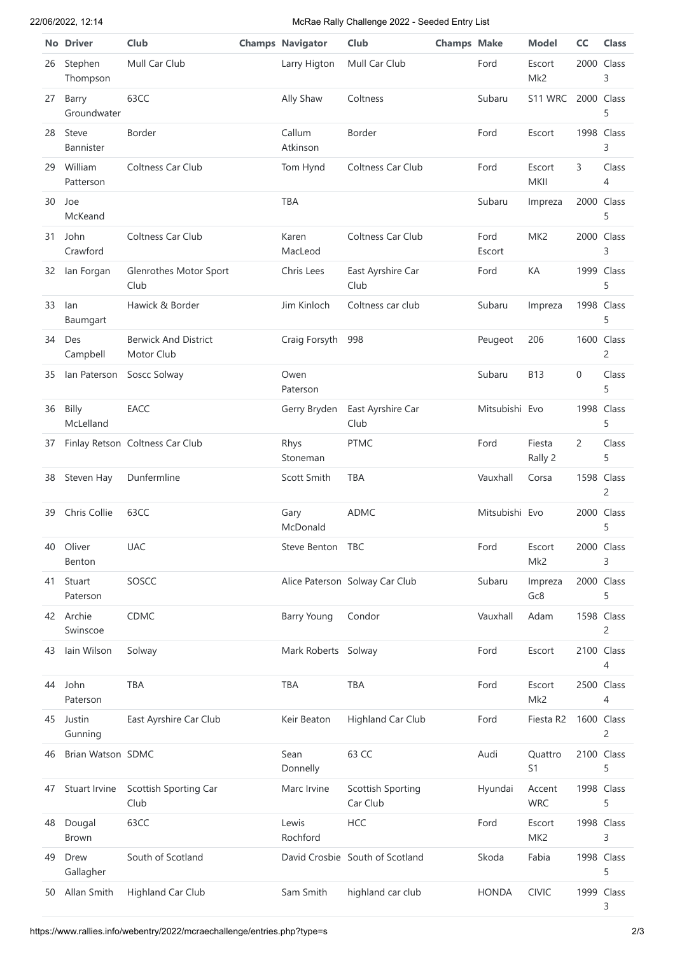## 22/06/2022, 12:14 McRae Rally Challenge 2022 - Seeded Entry List

|    | <b>No Driver</b>      | Club                                      | <b>Champs Navigator</b> | Club                            | <b>Champs Make</b> |                | <b>Model</b>              | <b>CC</b> | <b>Class</b>                 |
|----|-----------------------|-------------------------------------------|-------------------------|---------------------------------|--------------------|----------------|---------------------------|-----------|------------------------------|
| 26 | Stephen<br>Thompson   | Mull Car Club                             | Larry Higton            | Mull Car Club                   |                    | Ford           | Escort<br>Mk2             |           | 2000 Class<br>3              |
| 27 | Barry<br>Groundwater  | 63CC                                      | Ally Shaw               | Coltness                        |                    | Subaru         | S11 WRC                   |           | 2000 Class<br>5              |
| 28 | Steve<br>Bannister    | Border                                    | Callum<br>Atkinson      | Border                          |                    | Ford           | Escort                    |           | 1998 Class<br>3              |
| 29 | William<br>Patterson  | Coltness Car Club                         | Tom Hynd                | Coltness Car Club               |                    | Ford           | Escort<br>MKII            | 3         | Class<br>4                   |
| 30 | Joe<br>McKeand        |                                           | <b>TBA</b>              |                                 |                    | Subaru         | Impreza                   |           | 2000 Class<br>5              |
| 31 | John<br>Crawford      | Coltness Car Club                         | Karen<br>MacLeod        | Coltness Car Club               |                    | Ford<br>Escort | MK <sub>2</sub>           |           | 2000 Class<br>3              |
| 32 | lan Forgan            | Glenrothes Motor Sport<br>Club            | Chris Lees              | East Ayrshire Car<br>Club       |                    | Ford           | КA                        |           | 1999 Class<br>5              |
| 33 | lan<br>Baumgart       | Hawick & Border                           | Jim Kinloch             | Coltness car club               |                    | Subaru         | Impreza                   |           | 1998 Class<br>5              |
| 34 | Des<br>Campbell       | <b>Berwick And District</b><br>Motor Club | Craig Forsyth           | 998                             |                    | Peugeot        | 206                       |           | 1600 Class<br>$\overline{c}$ |
| 35 | lan Paterson          | Soscc Solway                              | Owen<br>Paterson        |                                 |                    | Subaru         | <b>B13</b>                | 0         | Class<br>5                   |
| 36 | Billy<br>McLelland    | EACC                                      | Gerry Bryden            | East Ayrshire Car<br>Club       |                    | Mitsubishi Evo |                           |           | 1998 Class<br>5              |
| 37 |                       | Finlay Retson Coltness Car Club           | Rhys<br>Stoneman        | <b>PTMC</b>                     |                    | Ford           | Fiesta<br>Rally 2         | 2         | Class<br>5                   |
| 38 | Steven Hay            | Dunfermline                               | Scott Smith             | TBA                             |                    | Vauxhall       | Corsa                     |           | 1598 Class<br>2              |
| 39 | Chris Collie          | 63CC                                      | Gary<br>McDonald        | <b>ADMC</b>                     |                    | Mitsubishi Evo |                           |           | 2000 Class<br>5              |
| 40 | Oliver<br>Benton      | <b>UAC</b>                                | Steve Benton TBC        |                                 |                    | Ford           | Escort<br>Mk2             |           | 2000 Class<br>3              |
| 41 | Stuart<br>Paterson    | SOSCC                                     |                         | Alice Paterson Solway Car Club  |                    | Subaru         | Impreza<br>Gc8            |           | 2000 Class<br>5              |
|    | 42 Archie<br>Swinscoe | CDMC                                      | <b>Barry Young</b>      | Condor                          |                    | Vauxhall       | Adam                      |           | 1598 Class<br>2              |
| 43 | lain Wilson           | Solway                                    | Mark Roberts Solway     |                                 |                    | Ford           | Escort                    |           | 2100 Class<br>4              |
| 44 | John<br>Paterson      | TBA                                       | TBA                     | <b>TBA</b>                      |                    | Ford           | Escort<br>Mk2             |           | 2500 Class<br>4              |
| 45 | Justin<br>Gunning     | East Ayrshire Car Club                    | Keir Beaton             | Highland Car Club               |                    | Ford           | Fiesta R2                 |           | 1600 Class<br>2              |
| 46 | Brian Watson SDMC     |                                           | Sean<br>Donnelly        | 63 CC                           |                    | Audi           | Quattro<br>S1             |           | 2100 Class<br>5              |
| 47 | Stuart Irvine         | Scottish Sporting Car<br>Club             | Marc Irvine             | Scottish Sporting<br>Car Club   |                    | Hyundai        | Accent<br><b>WRC</b>      |           | 1998 Class<br>5              |
| 48 | Dougal<br>Brown       | 63CC                                      | Lewis<br>Rochford       | <b>HCC</b>                      |                    | Ford           | Escort<br>MK <sub>2</sub> |           | 1998 Class<br>3              |
| 49 | Drew<br>Gallagher     | South of Scotland                         |                         | David Crosbie South of Scotland |                    | Skoda          | Fabia                     |           | 1998 Class<br>5              |
| 50 | Allan Smith           | Highland Car Club                         | Sam Smith               | highland car club               |                    | <b>HONDA</b>   | <b>CIVIC</b>              |           | 1999 Class<br>3              |